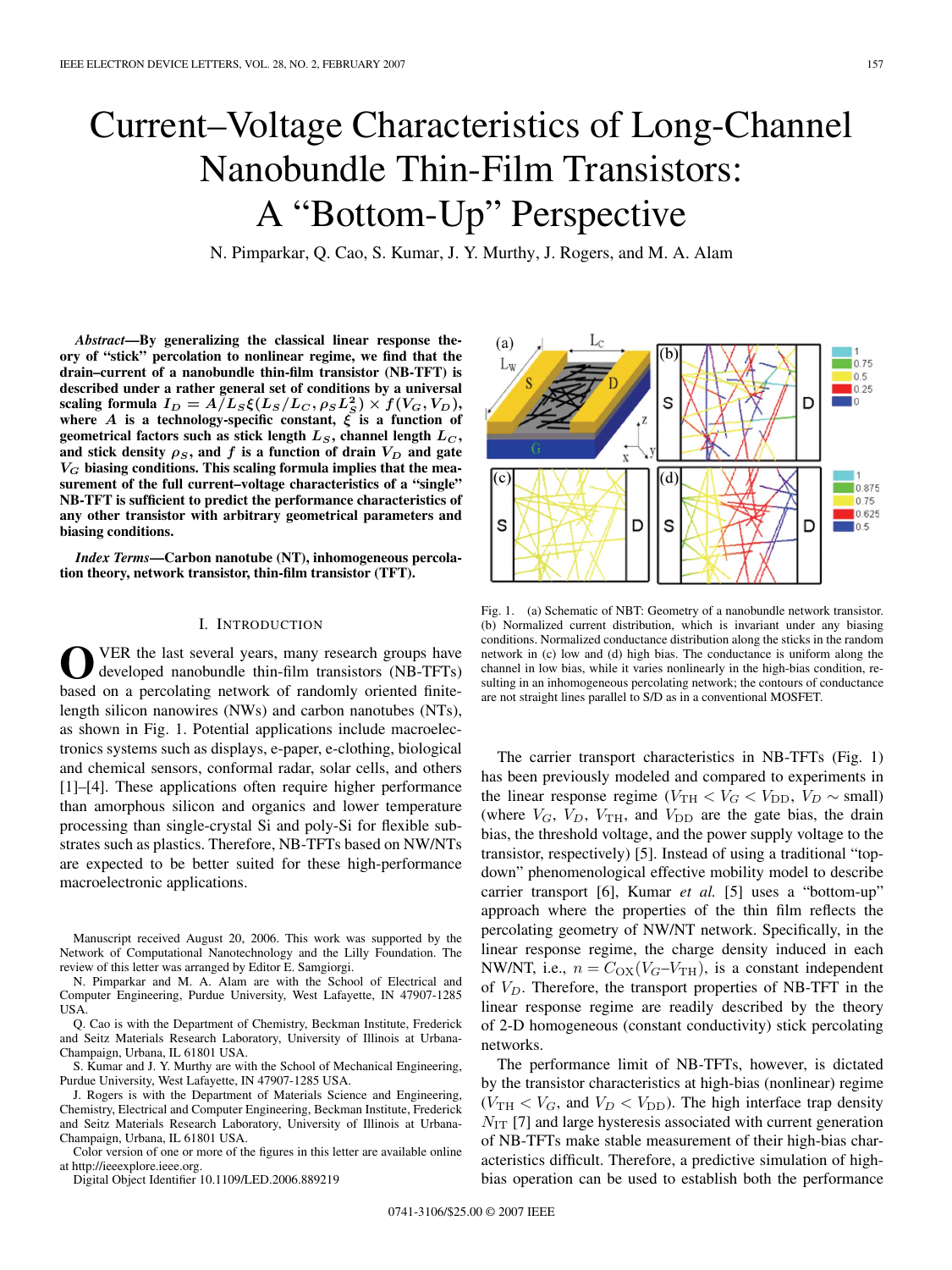# Current–Voltage Characteristics of Long-Channel Nanobundle Thin-Film Transistors: A "Bottom-Up" Perspective

N. Pimparkar, Q. Cao, S. Kumar, J. Y. Murthy, J. Rogers, and M. A. Alam

*Abstract***—By generalizing the classical linear response theory of "stick" percolation to nonlinear regime, we find that the drain–current of a nanobundle thin-film transistor (NB-TFT) is described under a rather general set of conditions by a universal** scaling formula  $I_D = A/L_S \xi(L_S/L_C, \rho_S L_S^2) \times f(V_G, V_D)$ , where *A* is a technology-specific constant,  $\zeta$  is a function of **geometrical factors such as stick length**  $L_S$ , channel length  $L_C$ , and stick density  $\rho_S$ , and f is a function of drain  $V_D$  and gate *V<sup>G</sup>* **biasing conditions. This scaling formula implies that the measurement of the full current–voltage characteristics of a "single" NB-TFT is sufficient to predict the performance characteristics of any other transistor with arbitrary geometrical parameters and biasing conditions.**

*Index Terms***—Carbon nanotube (NT), inhomogeneous percolation theory, network transistor, thin-film transistor (TFT).**

## I. INTRODUCTION

VER the last several years, many research groups have developed nanobundle thin-film transistors (NB-TFTs) based on a percolating network of randomly oriented finitelength silicon nanowires (NWs) and carbon nanotubes (NTs), as shown in Fig. 1. Potential applications include macroelectronics systems such as displays, e-paper, e-clothing, biological and chemical sensors, conformal radar, solar cells, and others [1]–[4]. These applications often require higher performance than amorphous silicon and organics and lower temperature processing than single-crystal Si and poly-Si for flexible substrates such as plastics. Therefore, NB-TFTs based on NW/NTs are expected to be better suited for these high-performance macroelectronic applications.

Manuscript received August 20, 2006. This work was supported by the Network of Computational Nanotechnology and the Lilly Foundation. The review of this letter was arranged by Editor E. Samgiorgi.

N. Pimparkar and M. A. Alam are with the School of Electrical and Computer Engineering, Purdue University, West Lafayette, IN 47907-1285 USA.

Q. Cao is with the Department of Chemistry, Beckman Institute, Frederick and Seitz Materials Research Laboratory, University of Illinois at Urbana-Champaign, Urbana, IL 61801 USA.

S. Kumar and J. Y. Murthy are with the School of Mechanical Engineering, Purdue University, West Lafayette, IN 47907-1285 USA.

J. Rogers is with the Department of Materials Science and Engineering, Chemistry, Electrical and Computer Engineering, Beckman Institute, Frederick and Seitz Materials Research Laboratory, University of Illinois at Urbana-Champaign, Urbana, IL 61801 USA.

Color version of one or more of the figures in this letter are available online at http://ieeexplore.ieee.org.

Digital Object Identifier 10.1109/LED.2006.889219



Fig. 1. (a) Schematic of NBT: Geometry of a nanobundle network transistor. (b) Normalized current distribution, which is invariant under any biasing conditions. Normalized conductance distribution along the sticks in the random network in (c) low and (d) high bias. The conductance is uniform along the channel in low bias, while it varies nonlinearly in the high-bias condition, resulting in an inhomogeneous percolating network; the contours of conductance are not straight lines parallel to S/D as in a conventional MOSFET.

The carrier transport characteristics in NB-TFTs (Fig. 1) has been previously modeled and compared to experiments in the linear response regime ( $V_{\text{TH}} < V_G < V_{\text{DD}}$ ,  $V_D \sim \text{small}$ ) (where  $V_G$ ,  $V_D$ ,  $V_{TH}$ , and  $V_{DD}$  are the gate bias, the drain bias, the threshold voltage, and the power supply voltage to the transistor, respectively) [5]. Instead of using a traditional "topdown" phenomenological effective mobility model to describe carrier transport [6], Kumar *et al.* [5] uses a "bottom-up" approach where the properties of the thin film reflects the percolating geometry of NW/NT network. Specifically, in the linear response regime, the charge density induced in each NW/NT, i.e.,  $n = C_{\text{OX}}(V_G - V_{\text{TH}})$ , is a constant independent of  $V_D$ . Therefore, the transport properties of NB-TFT in the linear response regime are readily described by the theory of 2-D homogeneous (constant conductivity) stick percolating networks.

The performance limit of NB-TFTs, however, is dictated by the transistor characteristics at high-bias (nonlinear) regime  $(V_{\text{TH}} < V_G$ , and  $V_D < V_{\text{DD}}$ ). The high interface trap density  $N_{\text{IT}}$  [7] and large hysteresis associated with current generation of NB-TFTs make stable measurement of their high-bias characteristics difficult. Therefore, a predictive simulation of highbias operation can be used to establish both the performance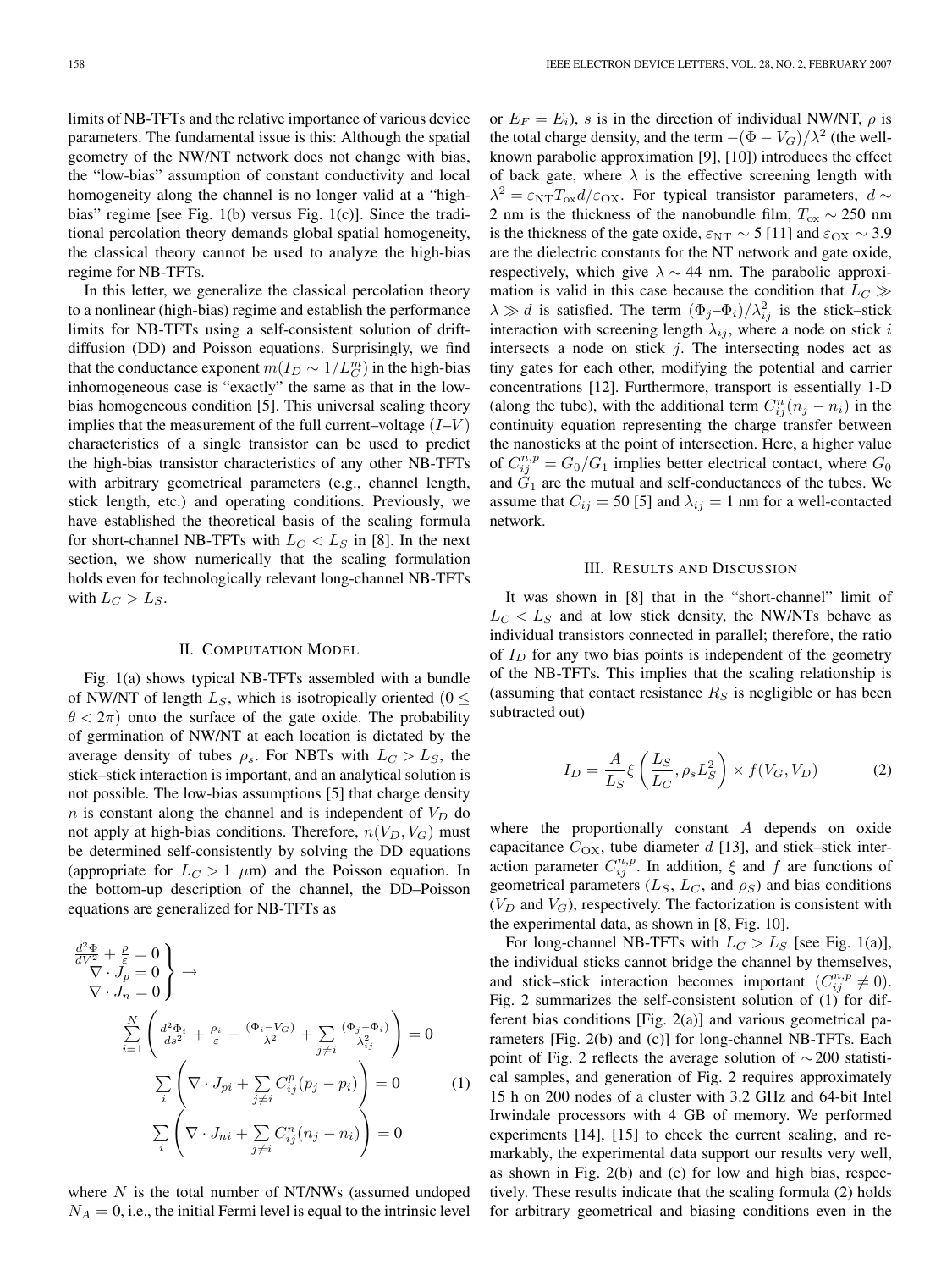limits of NB-TFTs and the relative importance of various device parameters. The fundamental issue is this: Although the spatial geometry of the NW/NT network does not change with bias, the "low-bias" assumption of constant conductivity and local homogeneity along the channel is no longer valid at a "highbias" regime [see Fig. 1(b) versus Fig. 1(c)]. Since the traditional percolation theory demands global spatial homogeneity, the classical theory cannot be used to analyze the high-bias regime for NB-TFTs.

In this letter, we generalize the classical percolation theory to a nonlinear (high-bias) regime and establish the performance limits for NB-TFTs using a self-consistent solution of driftdiffusion (DD) and Poisson equations. Surprisingly, we find that the conductance exponent  $m(I_D \sim 1/L_C^m)$  in the high-bias inhomogeneous case is "exactly" the same as that in the lowbias homogeneous condition [5]. This universal scaling theory implies that the measurement of the full current–voltage  $(I-V)$ characteristics of a single transistor can be used to predict the high-bias transistor characteristics of any other NB-TFTs with arbitrary geometrical parameters (e.g., channel length, stick length, etc.) and operating conditions. Previously, we have established the theoretical basis of the scaling formula for short-channel NB-TFTs with  $L_C < L_S$  in [8]. In the next section, we show numerically that the scaling formulation holds even for technologically relevant long-channel NB-TFTs with  $L_C > L_S$ .

## II. COMPUTATION MODEL

Fig. 1(a) shows typical NB-TFTs assembled with a bundle of NW/NT of length  $L_S$ , which is isotropically oriented (0  $\leq$  $\theta < 2\pi$ ) onto the surface of the gate oxide. The probability of germination of NW/NT at each location is dictated by the average density of tubes  $\rho_s$ . For NBTs with  $L_C > L_S$ , the stick–stick interaction is important, and an analytical solution is not possible. The low-bias assumptions [5] that charge density n is constant along the channel and is independent of  $V_D$  do not apply at high-bias conditions. Therefore,  $n(V_D, V_G)$  must be determined self-consistently by solving the DD equations (appropriate for  $L_C > 1$   $\mu$ m) and the Poisson equation. In the bottom-up description of the channel, the DD–Poisson equations are generalized for NB-TFTs as

$$
\frac{d^2\Phi}{dV^2} + \frac{\rho}{\varepsilon} = 0
$$
\n
$$
\nabla \cdot J_p = 0
$$
\n
$$
\sum_{i=1}^N \left( \frac{d^2\Phi_i}{ds^2} + \frac{\rho_i}{\varepsilon} - \frac{(\Phi_i - V_G)}{\lambda^2} + \sum_{j \neq i} \frac{(\Phi_j - \Phi_i)}{\lambda_{ij}^2} \right) = 0
$$
\n
$$
\sum_i \left( \nabla \cdot J_{pi} + \sum_{j \neq i} C_{ij}^p (p_j - p_i) \right) = 0 \qquad (1)
$$
\n
$$
\sum_i \left( \nabla \cdot J_{ni} + \sum_{j \neq i} C_{ij}^n (n_j - n_i) \right) = 0
$$

where  $N$  is the total number of NT/NWs (assumed undoped  $N_A = 0$ , i.e., the initial Fermi level is equal to the intrinsic level

or  $E_F = E_i$ , s is in the direction of individual NW/NT,  $\rho$  is the total charge density, and the term  $-(\Phi - V_G)/\lambda^2$  (the wellknown parabolic approximation [9], [10]) introduces the effect of back gate, where  $\lambda$  is the effective screening length with  $\lambda^2 = \varepsilon_{NT} T_{ox} d/\varepsilon_{OX}$ . For typical transistor parameters,  $d \sim$ 2 nm is the thickness of the nanobundle film,  $T_{ox} \sim 250$  nm is the thickness of the gate oxide,  $\varepsilon_{NT} \sim 5$  [11] and  $\varepsilon_{OX} \sim 3.9$ are the dielectric constants for the NT network and gate oxide, respectively, which give  $\lambda \sim 44$  nm. The parabolic approximation is valid in this case because the condition that  $L_C \gg$  $\lambda \gg d$  is satisfied. The term  $(\Phi_j - \Phi_i)/\lambda_{ij}^2$  is the stick–stick interaction with screening length  $\lambda_{ij},$  where a node on stick  $i$ intersects a node on stick  $j$ . The intersecting nodes act as tiny gates for each other, modifying the potential and carrier concentrations [12]. Furthermore, transport is essentially 1-D (along the tube), with the additional term  $C_{ij}^n(n_j - n_i)$  in the continuity equation representing the charge transfer between the nanosticks at the point of intersection. Here, a higher value of  $C_{ij}^{n,p} = G_0/G_1$  implies better electrical contact, where  $G_0$ and  $\tilde{G}_1$  are the mutual and self-conductances of the tubes. We assume that  $C_{ij} = 50$  [5] and  $\lambda_{ij} = 1$  nm for a well-contacted network.

# III. RESULTS AND DISCUSSION

It was shown in [8] that in the "short-channel" limit of  $L<sub>C</sub> < L<sub>S</sub>$  and at low stick density, the NW/NTs behave as individual transistors connected in parallel; therefore, the ratio of  $I_D$  for any two bias points is independent of the geometry of the NB-TFTs. This implies that the scaling relationship is (assuming that contact resistance  $R<sub>S</sub>$  is negligible or has been subtracted out)

$$
I_D = \frac{A}{L_S} \xi \left( \frac{L_S}{L_C}, \rho_s L_S^2 \right) \times f(V_G, V_D) \tag{2}
$$

where the proportionally constant A depends on oxide capacitance  $C_{OX}$ , tube diameter d [13], and stick–stick interaction parameter  $C_{ij}^{n,p}$ . In addition,  $\xi$  and  $f$  are functions of geometrical parameters  $(L_S, L_C, \text{ and } \rho_S)$  and bias conditions  $(V_D \text{ and } V_G)$ , respectively. The factorization is consistent with the experimental data, as shown in [8, Fig. 10].

For long-channel NB-TFTs with  $L_C > L_S$  [see Fig. 1(a)], the individual sticks cannot bridge the channel by themselves, and stick–stick interaction becomes important  $(C_{ij}^{n,p} \neq 0)$ . Fig. 2 summarizes the self-consistent solution of (1) for different bias conditions [Fig. 2(a)] and various geometrical parameters [Fig. 2(b) and (c)] for long-channel NB-TFTs. Each point of Fig. 2 reflects the average solution of ∼200 statistical samples, and generation of Fig. 2 requires approximately 15 h on 200 nodes of a cluster with 3.2 GHz and 64-bit Intel Irwindale processors with 4 GB of memory. We performed experiments [14], [15] to check the current scaling, and remarkably, the experimental data support our results very well, as shown in Fig. 2(b) and (c) for low and high bias, respectively. These results indicate that the scaling formula (2) holds for arbitrary geometrical and biasing conditions even in the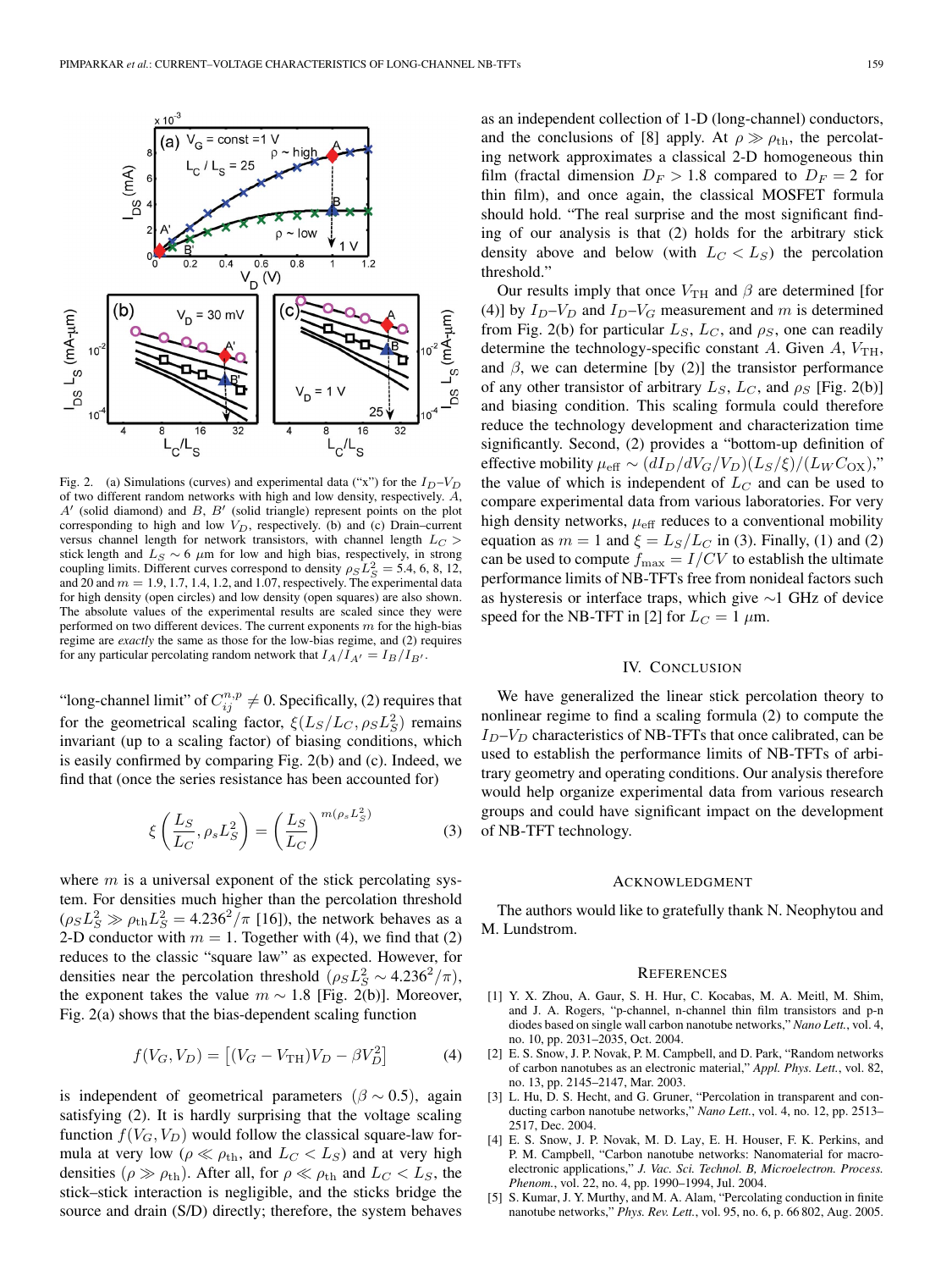

Fig. 2. (a) Simulations (curves) and experimental data ("x") for the  $I_D-V_D$ of two different random networks with high and low density, respectively. A,  $A'$  (solid diamond) and  $B$ ,  $B'$  (solid triangle) represent points on the plot corresponding to high and low  $V_D$ , respectively. (b) and (c) Drain–current versus channel length for network transistors, with channel length  $L_C$ stick length and  $L_S \sim 6 \mu m$  for low and high bias, respectively, in strong coupling limits. Different curves correspond to density  $\rho_S L_S^2 = 5.4, 6, 8, 12,$ and 20 and  $m = 1.9, 1.7, 1.4, 1.2,$  and 1.07, respectively. The experimental data for high density (open circles) and low density (open squares) are also shown. The absolute values of the experimental results are scaled since they were performed on two different devices. The current exponents  $m$  for the high-bias regime are *exactly* the same as those for the low-bias regime, and (2) requires for any particular percolating random network that  $I_A/I_{A'} = I_B/I_{B'}$ .

"long-channel limit" of  $C_{ij}^{n,p} \neq 0$ . Specifically, (2) requires that for the geometrical scaling factor,  $\xi(L_S/L_C, \rho_S L_S^2)$  remains invariant (up to a scaling factor) of biasing conditions, which is easily confirmed by comparing Fig. 2(b) and (c). Indeed, we find that (once the series resistance has been accounted for)

$$
\xi\left(\frac{L_S}{L_C}, \rho_s L_S^2\right) = \left(\frac{L_S}{L_C}\right)^{m(\rho_s L_S^2)}\tag{3}
$$

where  $m$  is a universal exponent of the stick percolating system. For densities much higher than the percolation threshold  $(\rho_S L_S^2 \gg \rho_{\text{th}} L_S^2 = 4.236^2/\pi$  [16]), the network behaves as a 2-D conductor with  $m = 1$ . Together with (4), we find that (2) reduces to the classic "square law" as expected. However, for densities near the percolation threshold  $(\rho_S L_S^2 \sim 4.236^2/\pi)$ , the exponent takes the value  $m \sim 1.8$  [Fig. 2(b)]. Moreover, Fig. 2(a) shows that the bias-dependent scaling function

$$
f(V_G, V_D) = [(V_G - V_{\text{TH}})V_D - \beta V_D^2]
$$
 (4)

is independent of geometrical parameters ( $\beta \sim 0.5$ ), again satisfying (2). It is hardly surprising that the voltage scaling function  $f(V_G, V_D)$  would follow the classical square-law formula at very low ( $\rho \ll \rho_{\text{th}}$ , and  $L_C < L_S$ ) and at very high densities ( $\rho \gg \rho_{\text{th}}$ ). After all, for  $\rho \ll \rho_{\text{th}}$  and  $L_C < L_S$ , the stick–stick interaction is negligible, and the sticks bridge the source and drain (S/D) directly; therefore, the system behaves

as an independent collection of 1-D (long-channel) conductors, and the conclusions of [8] apply. At  $\rho \gg \rho_{\text{th}}$ , the percolating network approximates a classical 2-D homogeneous thin film (fractal dimension  $D_F > 1.8$  compared to  $D_F = 2$  for thin film), and once again, the classical MOSFET formula should hold. "The real surprise and the most significant finding of our analysis is that (2) holds for the arbitrary stick density above and below (with  $L_C < L_S$ ) the percolation threshold."

Our results imply that once  $V_{\text{TH}}$  and  $\beta$  are determined [for (4)] by  $I_D-V_D$  and  $I_D-V_G$  measurement and m is determined from Fig. 2(b) for particular  $L_S$ ,  $L_C$ , and  $\rho_S$ , one can readily determine the technology-specific constant A. Given A,  $V_{\text{TH}}$ , and  $\beta$ , we can determine [by (2)] the transistor performance of any other transistor of arbitrary  $L_S$ ,  $L_C$ , and  $\rho_S$  [Fig. 2(b)] and biasing condition. This scaling formula could therefore reduce the technology development and characterization time significantly. Second, (2) provides a "bottom-up definition of effective mobility  $\mu_{\text{eff}} \sim (dI_D/dV_G/V_D)(L_S/\xi)/(L_W C_{\text{OX}})$ ," the value of which is independent of  $L<sub>C</sub>$  and can be used to compare experimental data from various laboratories. For very high density networks,  $\mu_{\text{eff}}$  reduces to a conventional mobility equation as  $m = 1$  and  $\xi = L_S/L_C$  in (3). Finally, (1) and (2) can be used to compute  $f_{\text{max}} = I/CV$  to establish the ultimate performance limits of NB-TFTs free from nonideal factors such as hysteresis or interface traps, which give ∼1 GHz of device speed for the NB-TFT in [2] for  $L_C = 1 \mu m$ .

## IV. CONCLUSION

We have generalized the linear stick percolation theory to nonlinear regime to find a scaling formula (2) to compute the  $I_D-V_D$  characteristics of NB-TFTs that once calibrated, can be used to establish the performance limits of NB-TFTs of arbitrary geometry and operating conditions. Our analysis therefore would help organize experimental data from various research groups and could have significant impact on the development of NB-TFT technology.

### ACKNOWLEDGMENT

The authors would like to gratefully thank N. Neophytou and M. Lundstrom.

#### **REFERENCES**

- [1] Y. X. Zhou, A. Gaur, S. H. Hur, C. Kocabas, M. A. Meitl, M. Shim, and J. A. Rogers, "p-channel, n-channel thin film transistors and p-n diodes based on single wall carbon nanotube networks," *Nano Lett.*, vol. 4, no. 10, pp. 2031–2035, Oct. 2004.
- [2] E. S. Snow, J. P. Novak, P. M. Campbell, and D. Park, "Random networks" of carbon nanotubes as an electronic material," *Appl. Phys. Lett.*, vol. 82, no. 13, pp. 2145–2147, Mar. 2003.
- [3] L. Hu, D. S. Hecht, and G. Gruner, "Percolation in transparent and conducting carbon nanotube networks," *Nano Lett.*, vol. 4, no. 12, pp. 2513– 2517, Dec. 2004.
- [4] E. S. Snow, J. P. Novak, M. D. Lay, E. H. Houser, F. K. Perkins, and P. M. Campbell, "Carbon nanotube networks: Nanomaterial for macroelectronic applications," *J. Vac. Sci. Technol. B, Microelectron. Process. Phenom.*, vol. 22, no. 4, pp. 1990–1994, Jul. 2004.
- [5] S. Kumar, J. Y. Murthy, and M. A. Alam, "Percolating conduction in finite nanotube networks," *Phys. Rev. Lett.*, vol. 95, no. 6, p. 66 802, Aug. 2005.